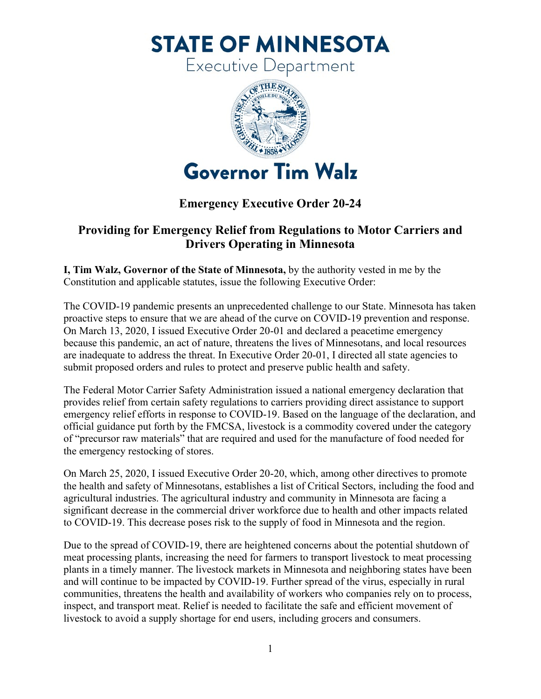**STATE OF MINNESOTA** 

Executive Department



## **Emergency Executive Order 20-24**

## **Providing for Emergency Relief from Regulations to Motor Carriers and Drivers Operating in Minnesota**

**I, Tim Walz, Governor of the State of Minnesota,** by the authority vested in me by the Constitution and applicable statutes, issue the following Executive Order:

The COVID-19 pandemic presents an unprecedented challenge to our State. Minnesota has taken proactive steps to ensure that we are ahead of the curve on COVID-19 prevention and response. On March 13, 2020, I issued Executive Order 20-01 and declared a peacetime emergency because this pandemic, an act of nature, threatens the lives of Minnesotans, and local resources are inadequate to address the threat. In Executive Order 20-01, I directed all state agencies to submit proposed orders and rules to protect and preserve public health and safety.

The Federal Motor Carrier Safety Administration issued a national emergency declaration that provides relief from certain safety regulations to carriers providing direct assistance to support emergency relief efforts in response to COVID-19. Based on the language of the declaration, and official guidance put forth by the FMCSA, livestock is a commodity covered under the category of "precursor raw materials" that are required and used for the manufacture of food needed for the emergency restocking of stores.

On March 25, 2020, I issued Executive Order 20-20, which, among other directives to promote the health and safety of Minnesotans, establishes a list of Critical Sectors, including the food and agricultural industries. The agricultural industry and community in Minnesota are facing a significant decrease in the commercial driver workforce due to health and other impacts related to COVID-19. This decrease poses risk to the supply of food in Minnesota and the region.

Due to the spread of COVID-19, there are heightened concerns about the potential shutdown of meat processing plants, increasing the need for farmers to transport livestock to meat processing plants in a timely manner. The livestock markets in Minnesota and neighboring states have been and will continue to be impacted by COVID-19. Further spread of the virus, especially in rural communities, threatens the health and availability of workers who companies rely on to process, inspect, and transport meat. Relief is needed to facilitate the safe and efficient movement of livestock to avoid a supply shortage for end users, including grocers and consumers.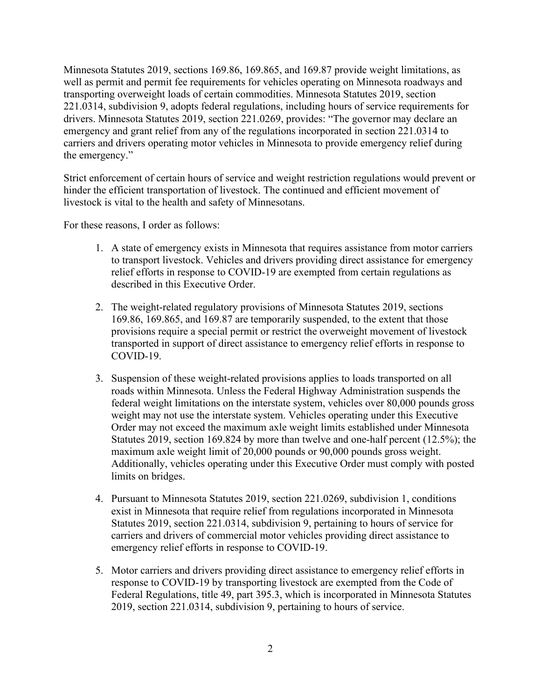Minnesota Statutes 2019, sections 169.86, 169.865, and 169.87 provide weight limitations, as well as permit and permit fee requirements for vehicles operating on Minnesota roadways and transporting overweight loads of certain commodities. Minnesota Statutes 2019, section 221.0314, subdivision 9, adopts federal regulations, including hours of service requirements for drivers. Minnesota Statutes 2019, section 221.0269, provides: "The governor may declare an emergency and grant relief from any of the regulations incorporated in section 221.0314 to carriers and drivers operating motor vehicles in Minnesota to provide emergency relief during the emergency."

Strict enforcement of certain hours of service and weight restriction regulations would prevent or hinder the efficient transportation of livestock. The continued and efficient movement of livestock is vital to the health and safety of Minnesotans.

For these reasons, I order as follows:

- 1. A state of emergency exists in Minnesota that requires assistance from motor carriers to transport livestock. Vehicles and drivers providing direct assistance for emergency relief efforts in response to COVID-19 are exempted from certain regulations as described in this Executive Order.
- 2. The weight-related regulatory provisions of Minnesota Statutes 2019, sections 169.86, 169.865, and 169.87 are temporarily suspended, to the extent that those provisions require a special permit or restrict the overweight movement of livestock transported in support of direct assistance to emergency relief efforts in response to COVID-19.
- 3. Suspension of these weight-related provisions applies to loads transported on all roads within Minnesota. Unless the Federal Highway Administration suspends the federal weight limitations on the interstate system, vehicles over 80,000 pounds gross weight may not use the interstate system. Vehicles operating under this Executive Order may not exceed the maximum axle weight limits established under Minnesota Statutes 2019, section 169.824 by more than twelve and one-half percent (12.5%); the maximum axle weight limit of 20,000 pounds or 90,000 pounds gross weight. Additionally, vehicles operating under this Executive Order must comply with posted limits on bridges.
- 4. Pursuant to Minnesota Statutes 2019, section 221.0269, subdivision 1, conditions exist in Minnesota that require relief from regulations incorporated in Minnesota Statutes 2019, section 221.0314, subdivision 9, pertaining to hours of service for carriers and drivers of commercial motor vehicles providing direct assistance to emergency relief efforts in response to COVID-19.
- 5. Motor carriers and drivers providing direct assistance to emergency relief efforts in response to COVID-19 by transporting livestock are exempted from the Code of Federal Regulations, title 49, part 395.3, which is incorporated in Minnesota Statutes 2019, section 221.0314, subdivision 9, pertaining to hours of service.